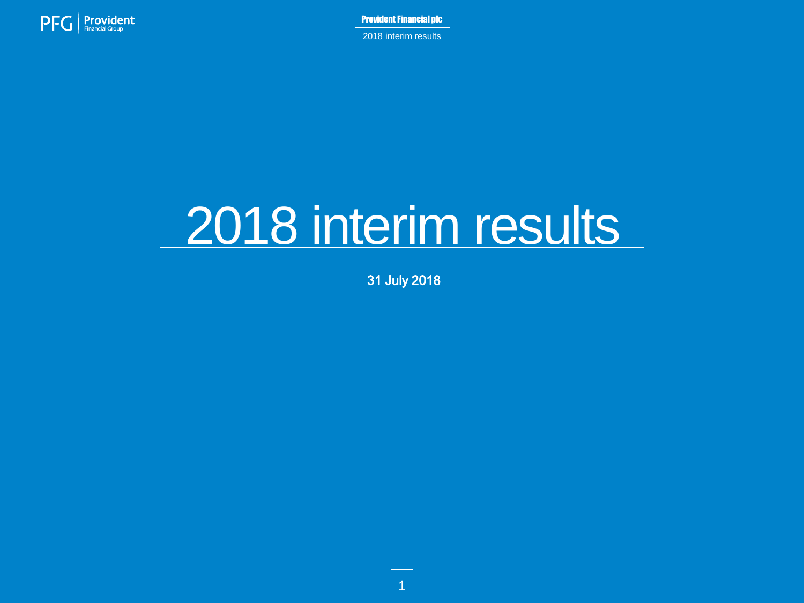

2018 interim results

# 2018 interim results

31 July 2018

1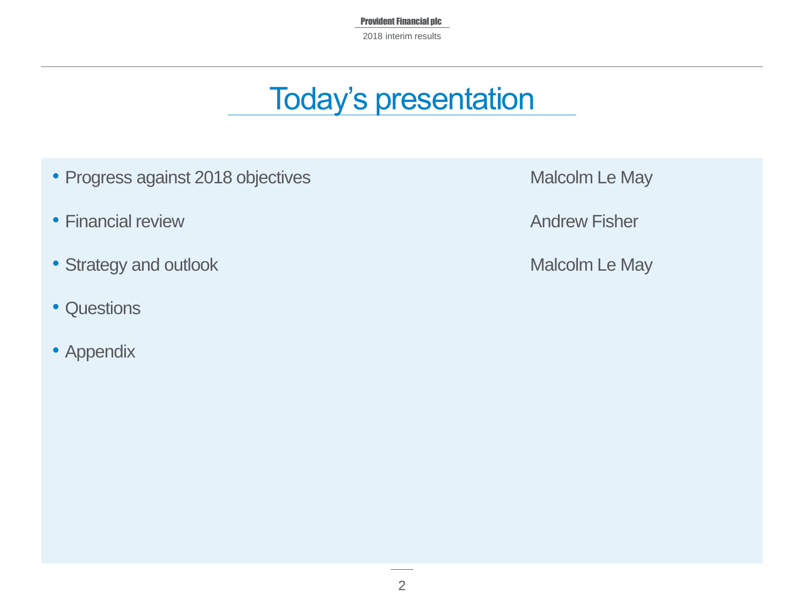Provident Financial plc 2018 interim results

### Today's presentation

- Progress against 2018 objectives **Malcolm Le May**
- Financial review **Andrew Fisher** Andrew Fisher
- Strategy and outlook **Malcolm Le May**
- Questions
- Appendix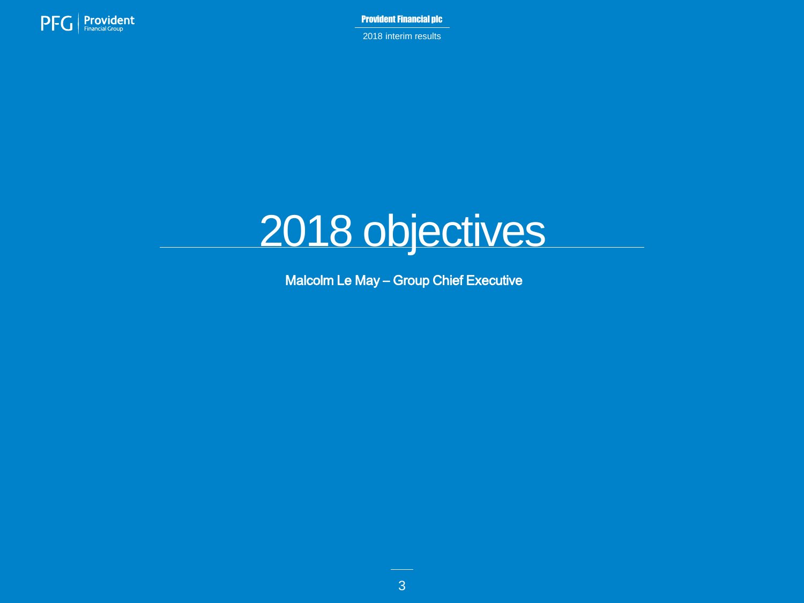

2018 interim results

# 2018 objectives

Malcolm Le May – Group Chief Executive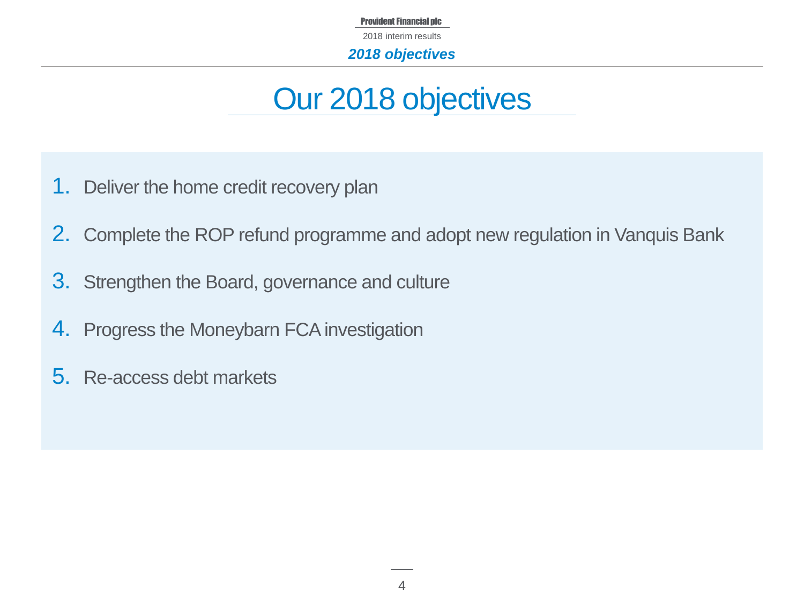2018 interim results

*2018 objectives*

### Our 2018 objectives

- 1. Deliver the home credit recovery plan
- 2. Complete the ROP refund programme and adopt new regulation in Vanquis Bank
- 3. Strengthen the Board, governance and culture
- 4. Progress the Moneybarn FCA investigation
- 5. Re-access debt markets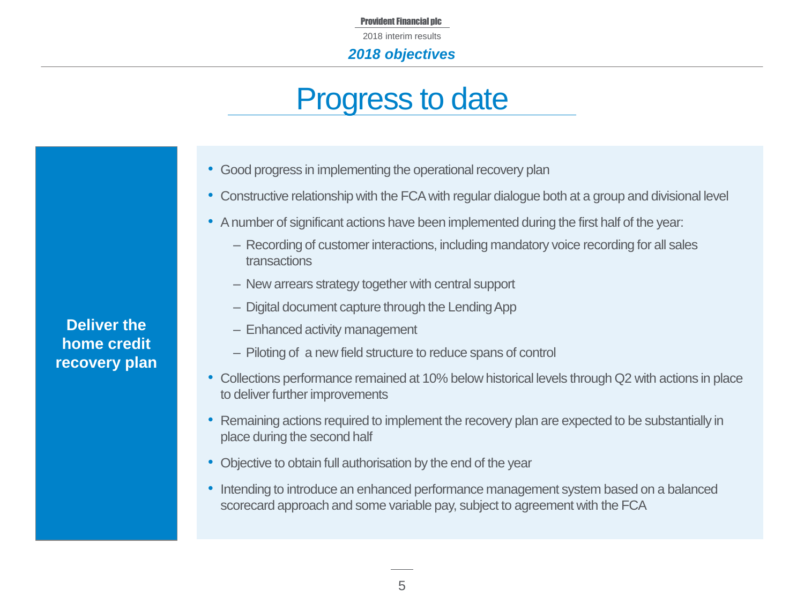2018 interim results

#### *2018 objectives*

### Progress to date

- Good progress in implementing the operational recovery plan
- Constructive relationship with the FCA with regular dialogue both at a group and divisional level
- A number of significant actions have been implemented during the first half of the year:
	- ‒ Recording of customer interactions, including mandatory voice recording for all sales transactions
	- ‒ New arrears strategy together with central support
	- ‒ Digital document capture through the Lending App
	- Enhanced activity management
	- ‒ Piloting of a new field structure to reduce spans of control
- Collections performance remained at 10% below historical levels through Q2 with actions in place to deliver further improvements
- Remaining actions required to implement the recovery plan are expected to be substantially in place during the second half
- Objective to obtain full authorisation by the end of the year
- Intending to introduce an enhanced performance management system based on a balanced scorecard approach and some variable pay, subject to agreement with the FCA

**Deliver the home credit recovery plan**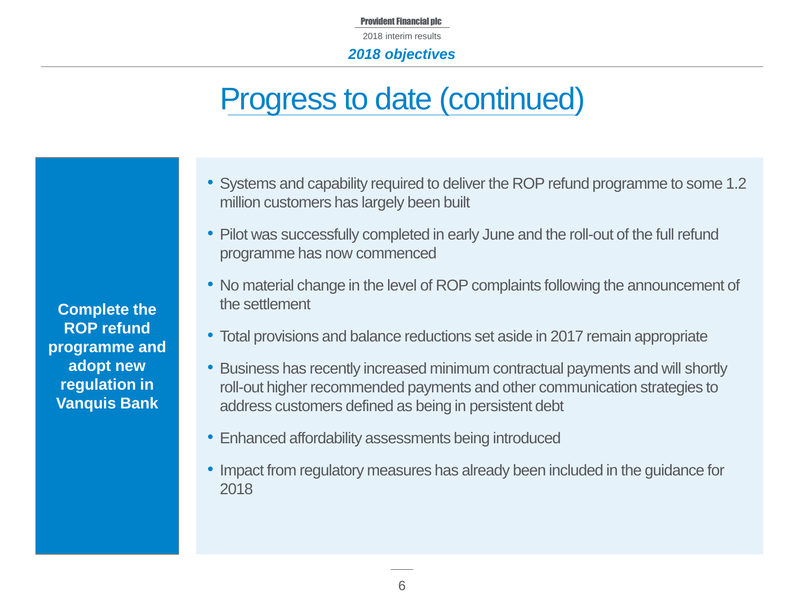#### *2018 objectives*

## Progress to date (continued)

- Systems and capability required to deliver the ROP refund programme to some 1.2 million customers has largely been built
- Pilot was successfully completed in early June and the roll-out of the full refund programme has now commenced
- No material change in the level of ROP complaints following the announcement of the settlement
- Total provisions and balance reductions set aside in 2017 remain appropriate
- Business has recently increased minimum contractual payments and will shortly roll-out higher recommended payments and other communication strategies to address customers defined as being in persistent debt
- Enhanced affordability assessments being introduced
- Impact from regulatory measures has already been included in the guidance for 2018

**Complete the ROP refund programme and adopt new regulation in Vanquis Bank**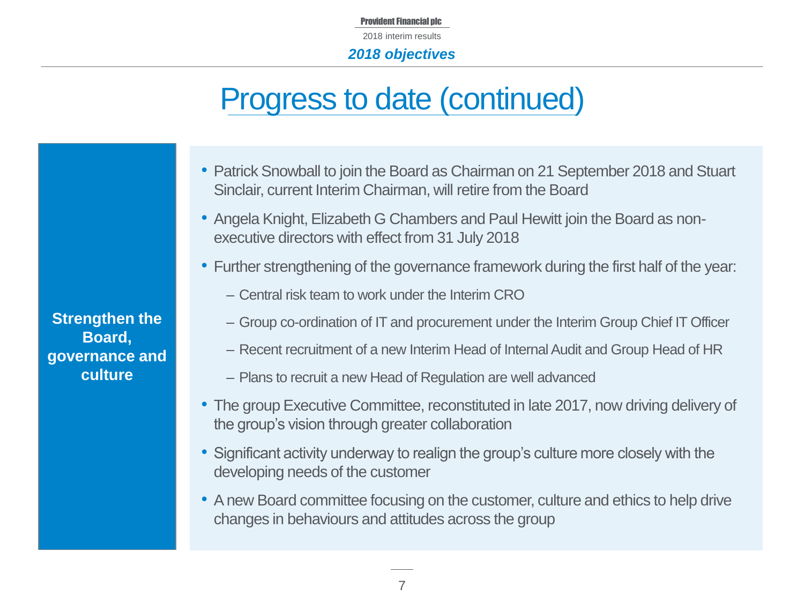Provident Financial plc 2018 interim results

#### *2018 objectives*

### Progress to date (continued)

- Patrick Snowball to join the Board as Chairman on 21 September 2018 and Stuart Sinclair, current Interim Chairman, will retire from the Board
- Angela Knight, Elizabeth G Chambers and Paul Hewitt join the Board as nonexecutive directors with effect from 31 July 2018
- Further strengthening of the governance framework during the first half of the year:
	- ‒ Central risk team to work under the Interim CRO
	- ‒ Group co-ordination of IT and procurement under the Interim Group Chief IT Officer
	- ‒ Recent recruitment of a new Interim Head of Internal Audit and Group Head of HR
	- ‒ Plans to recruit a new Head of Regulation are well advanced
- The group Executive Committee, reconstituted in late 2017, now driving delivery of the group's vision through greater collaboration
- Significant activity underway to realign the group's culture more closely with the developing needs of the customer
- A new Board committee focusing on the customer, culture and ethics to help drive changes in behaviours and attitudes across the group

**Strengthen the Board, governance and culture**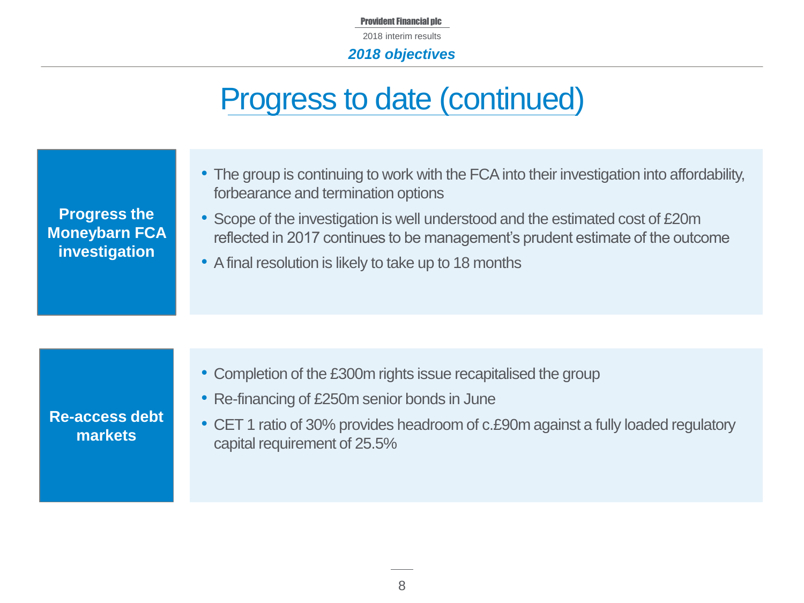Provident Financial plc 2018 interim results

#### *2018 objectives*

### Progress to date (continued)

| <b>Progress the</b><br><b>Moneybarn FCA</b><br>investigation | • The group is continuing to work with the FCA into their investigation into affordability,<br>forbearance and termination options<br>• Scope of the investigation is well understood and the estimated cost of £20m<br>reflected in 2017 continues to be management's prudent estimate of the outcome<br>• A final resolution is likely to take up to 18 months |
|--------------------------------------------------------------|------------------------------------------------------------------------------------------------------------------------------------------------------------------------------------------------------------------------------------------------------------------------------------------------------------------------------------------------------------------|
|                                                              |                                                                                                                                                                                                                                                                                                                                                                  |
|                                                              | • Completion of the £300m rights issue recapitalised the group                                                                                                                                                                                                                                                                                                   |

- **Re-access debt markets**
- Re-financing of £250m senior bonds in June
- CET 1 ratio of 30% provides headroom of c.£90m against a fully loaded regulatory capital requirement of 25.5%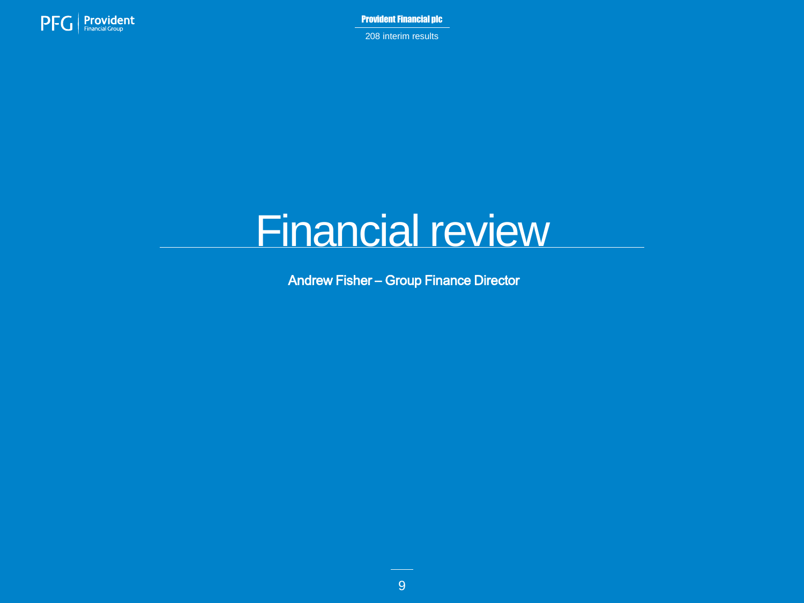

208 interim results

# Financial review

Andrew Fisher – Group Finance Director

9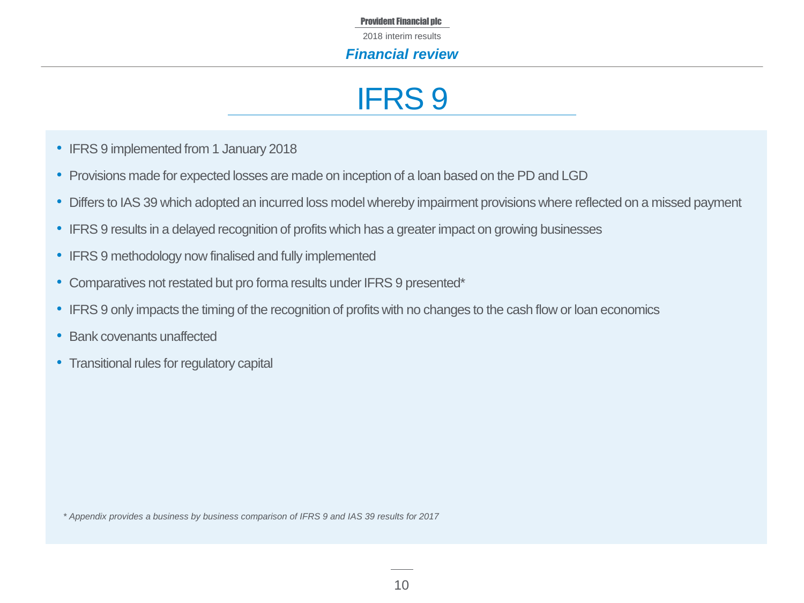2018 interim results

#### *Financial review*

## IFRS 9

- IFRS 9 implemented from 1 January 2018
- Provisions made for expected losses are made on inception of a loan based on the PD and LGD
- Differs to IAS 39 which adopted an incurred loss model whereby impairment provisions where reflected on a missed payment
- IFRS 9 results in a delayed recognition of profits which has a greater impact on growing businesses
- IFRS 9 methodology now finalised and fully implemented
- Comparatives not restated but pro forma results under IFRS 9 presented\*
- IFRS 9 only impacts the timing of the recognition of profits with no changes to the cash flow or loan economics
- Bank covenants unaffected
- Transitional rules for regulatory capital

*\* Appendix provides a business by business comparison of IFRS 9 and IAS 39 results for 2017*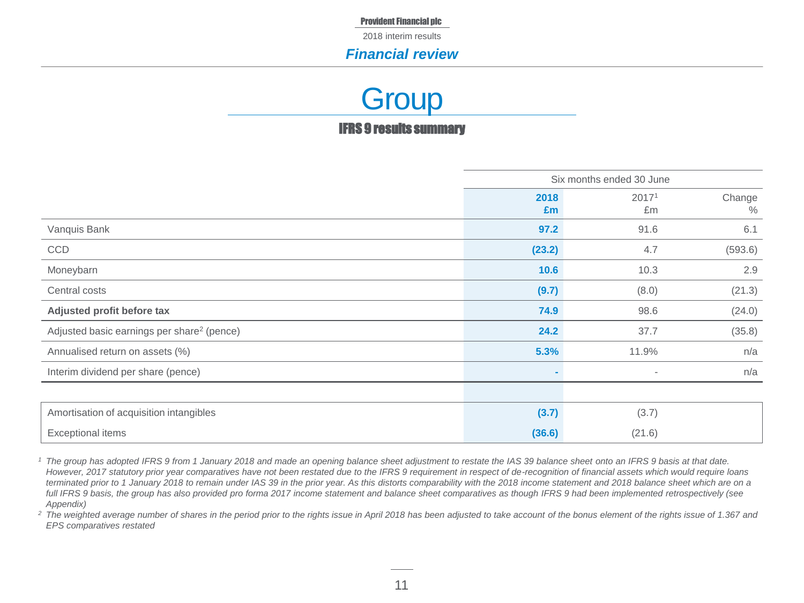2018 interim results

#### *Financial review*

### IFRS 9 results summary **Group**

|                                                        | Six months ended 30 June |                          |                |
|--------------------------------------------------------|--------------------------|--------------------------|----------------|
|                                                        | 2018<br>£m               | 2017 <sup>1</sup><br>£m  | Change<br>$\%$ |
| Vanquis Bank                                           | 97.2                     | 91.6                     | 6.1            |
| CCD                                                    | (23.2)                   | 4.7                      | (593.6)        |
| Moneybarn                                              | 10.6                     | 10.3                     | 2.9            |
| Central costs                                          | (9.7)                    | (8.0)                    | (21.3)         |
| Adjusted profit before tax                             | 74.9                     | 98.6                     | (24.0)         |
| Adjusted basic earnings per share <sup>2</sup> (pence) | 24.2                     | 37.7                     | (35.8)         |
| Annualised return on assets (%)                        | 5.3%                     | 11.9%                    | n/a            |
| Interim dividend per share (pence)                     |                          | $\overline{\phantom{a}}$ | n/a            |
|                                                        |                          |                          |                |
| Amortisation of acquisition intangibles                | (3.7)                    | (3.7)                    |                |
| <b>Exceptional items</b>                               | (36.6)                   | (21.6)                   |                |

*<sup>1</sup> The group has adopted IFRS 9 from 1 January 2018 and made an opening balance sheet adjustment to restate the IAS 39 balance sheet onto an IFRS 9 basis at that date. However, 2017 statutory prior year comparatives have not been restated due to the IFRS 9 requirement in respect of de-recognition of financial assets which would require loans terminated prior to 1 January 2018 to remain under IAS 39 in the prior year. As this distorts comparability with the 2018 income statement and 2018 balance sheet which are on a*  full IFRS 9 basis, the group has also provided pro forma 2017 income statement and balance sheet comparatives as though IFRS 9 had been implemented retrospectively (see *Appendix)*

<sup>2</sup> The weighted average number of shares in the period prior to the rights issue in April 2018 has been adjusted to take account of the bonus element of the rights issue of 1.367 and *EPS comparatives restated*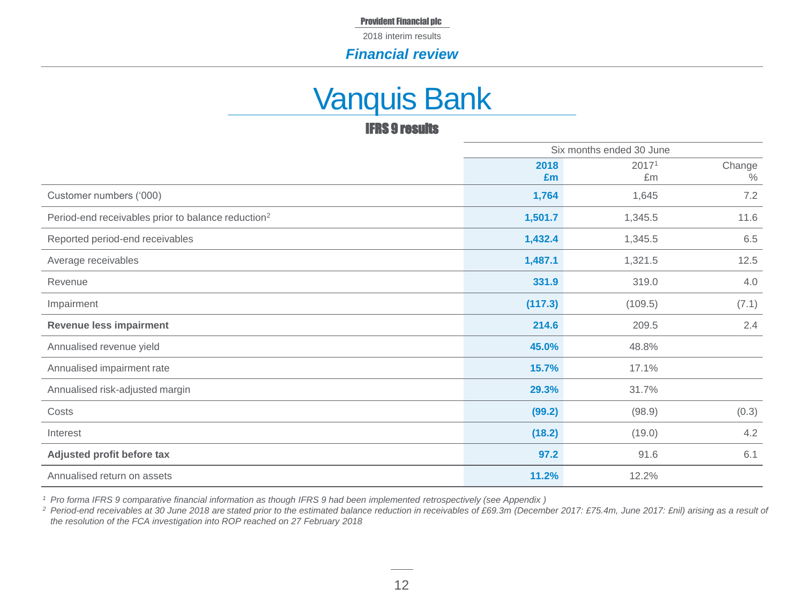2018 interim results

#### *Financial review*

### Vanquis Bank

#### IFRS 9 results

|                                                                |            | Six months ended 30 June |                |
|----------------------------------------------------------------|------------|--------------------------|----------------|
|                                                                | 2018<br>Em | 20171<br>£m              | Change<br>$\%$ |
| Customer numbers ('000)                                        | 1,764      | 1,645                    | 7.2            |
| Period-end receivables prior to balance reduction <sup>2</sup> | 1,501.7    | 1,345.5                  | 11.6           |
| Reported period-end receivables                                | 1,432.4    | 1,345.5                  | 6.5            |
| Average receivables                                            | 1,487.1    | 1,321.5                  | 12.5           |
| Revenue                                                        | 331.9      | 319.0                    | 4.0            |
| Impairment                                                     | (117.3)    | (109.5)                  | (7.1)          |
| <b>Revenue less impairment</b>                                 | 214.6      | 209.5                    | 2.4            |
| Annualised revenue yield                                       | 45.0%      | 48.8%                    |                |
| Annualised impairment rate                                     | 15.7%      | 17.1%                    |                |
| Annualised risk-adjusted margin                                | 29.3%      | 31.7%                    |                |
| Costs                                                          | (99.2)     | (98.9)                   | (0.3)          |
| Interest                                                       | (18.2)     | (19.0)                   | 4.2            |
| Adjusted profit before tax                                     | 97.2       | 91.6                     | 6.1            |
| Annualised return on assets                                    | 11.2%      | 12.2%                    |                |

*<sup>1</sup> Pro forma IFRS 9 comparative financial information as though IFRS 9 had been implemented retrospectively (see Appendix )*

<sup>2</sup> Period-end receivables at 30 June 2018 are stated prior to the estimated balance reduction in receivables of £69.3m (December 2017: £75.4m, June 2017: £nil) arising as a result of *the resolution of the FCA investigation into ROP reached on 27 February 2018*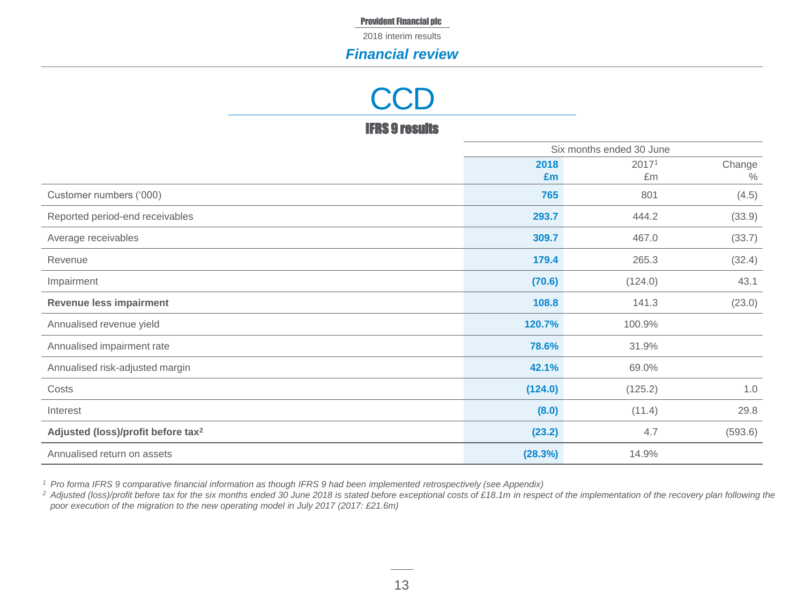2018 interim results

#### *Financial review*

# **CCD**

#### IFRS 9 results

|                                                |            | Six months ended 30 June |                         |
|------------------------------------------------|------------|--------------------------|-------------------------|
|                                                | 2018<br>Em | 20171<br>£m              | Change<br>$\frac{0}{0}$ |
| Customer numbers ('000)                        | 765        | 801                      | (4.5)                   |
| Reported period-end receivables                | 293.7      | 444.2                    | (33.9)                  |
| Average receivables                            | 309.7      | 467.0                    | (33.7)                  |
| Revenue                                        | 179.4      | 265.3                    | (32.4)                  |
| Impairment                                     | (70.6)     | (124.0)                  | 43.1                    |
| <b>Revenue less impairment</b>                 | 108.8      | 141.3                    | (23.0)                  |
| Annualised revenue yield                       | 120.7%     | 100.9%                   |                         |
| Annualised impairment rate                     | 78.6%      | 31.9%                    |                         |
| Annualised risk-adjusted margin                | 42.1%      | 69.0%                    |                         |
| Costs                                          | (124.0)    | (125.2)                  | 1.0                     |
| Interest                                       | (8.0)      | (11.4)                   | 29.8                    |
| Adjusted (loss)/profit before tax <sup>2</sup> | (23.2)     | 4.7                      | (593.6)                 |
| Annualised return on assets                    | (28.3%)    | 14.9%                    |                         |

*<sup>1</sup> Pro forma IFRS 9 comparative financial information as though IFRS 9 had been implemented retrospectively (see Appendix)*

<sup>2</sup> Adjusted (loss)/profit before tax for the six months ended 30 June 2018 is stated before exceptional costs of £18.1m in respect of the implementation of the recovery plan following the *poor execution of the migration to the new operating model in July 2017 (2017: £21.6m)*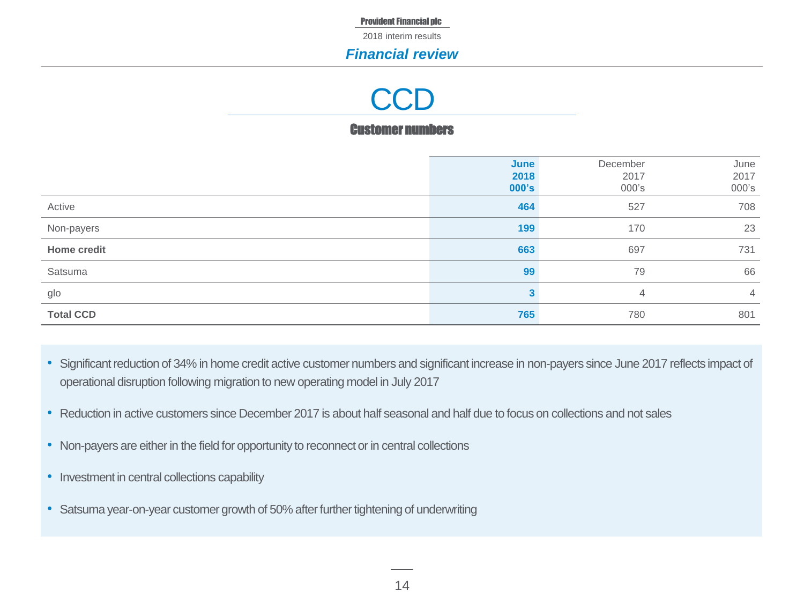2018 interim results

#### *Financial review*

## **CCD**

#### Customer numbers

|                  | June<br>2018<br>000's | December<br>2017<br>000's | June<br>2017<br>000's |
|------------------|-----------------------|---------------------------|-----------------------|
| Active           | 464                   | 527                       | 708                   |
| Non-payers       | 199                   | 170                       | 23                    |
| Home credit      | 663                   | 697                       | 731                   |
| Satsuma          | 99                    | 79                        | 66                    |
| glo              | 3                     | $\overline{4}$            | $\overline{4}$        |
| <b>Total CCD</b> | 765                   | 780                       | 801                   |

- Significant reduction of 34% in home credit active customer numbers and significant increase in non-payers since June 2017 reflects impact of operational disruption following migration to new operating model in July 2017
- Reduction in active customers since December 2017 is about half seasonal and half due to focus on collections and not sales
- Non-payers are either in the field for opportunity to reconnect or in central collections
- Investment in central collections capability
- Satsuma year-on-year customer growth of 50% after further tightening of underwriting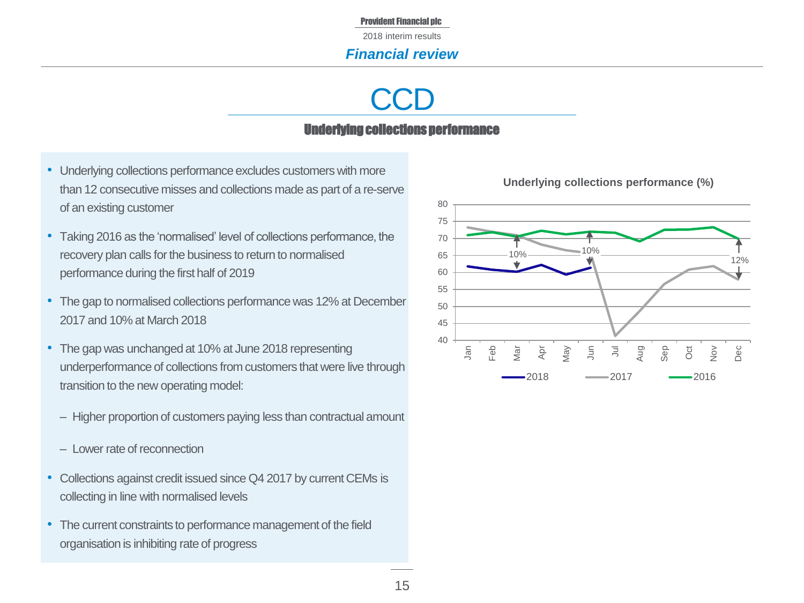2018 interim results

#### *Financial review*

# **CCD**

#### Underlying collections performance

- Underlying collections performance excludes customers with more than 12 consecutive misses and collections made as part of a re-serve of an existing customer
- Taking 2016 as the 'normalised' level of collections performance, the recovery plan calls for the business to return to normalised performance during the first half of 2019
- The gap to normalised collections performance was 12% at December 2017 and 10% at March 2018
- The gap was unchanged at 10% at June 2018 representing underperformance of collections from customers that were live through transition to the new operating model:
	- Higher proportion of customers paying less than contractual amount
	- ‒ Lower rate of reconnection
- Collections against credit issued since Q4 2017 by current CEMs is collecting in line with normalised levels
- The current constraints to performance management of the field organisation is inhibiting rate of progress



#### **Underlying collections performance (%)**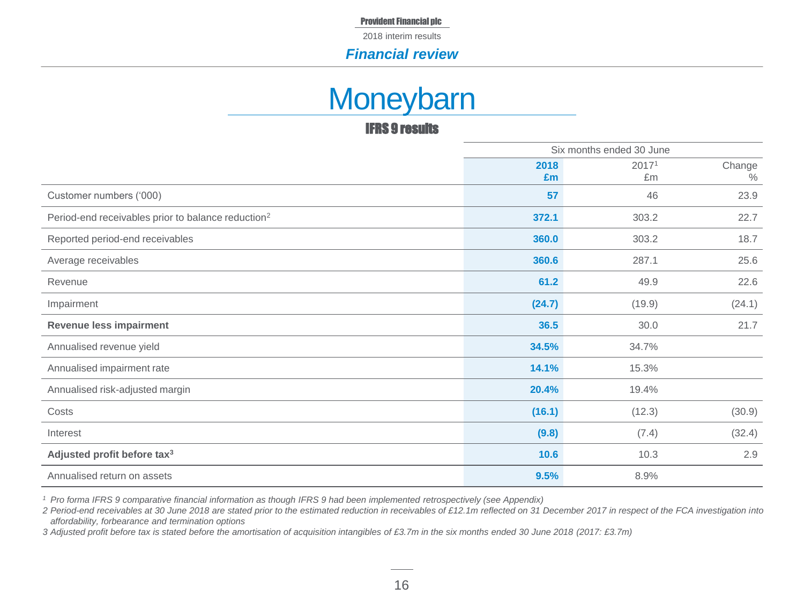2018 interim results

#### *Financial review*

### **Moneybarn**

#### IFRS 9 results

|                                                                | Six months ended 30 June |        |        |
|----------------------------------------------------------------|--------------------------|--------|--------|
|                                                                | 2018                     | 20171  | Change |
|                                                                | Em                       | £m     | $\%$   |
| Customer numbers ('000)                                        | 57                       | 46     | 23.9   |
| Period-end receivables prior to balance reduction <sup>2</sup> | 372.1                    | 303.2  | 22.7   |
| Reported period-end receivables                                | 360.0                    | 303.2  | 18.7   |
| Average receivables                                            | 360.6                    | 287.1  | 25.6   |
| Revenue                                                        | 61.2                     | 49.9   | 22.6   |
| Impairment                                                     | (24.7)                   | (19.9) | (24.1) |
| <b>Revenue less impairment</b>                                 | 36.5                     | 30.0   | 21.7   |
| Annualised revenue yield                                       | 34.5%                    | 34.7%  |        |
| Annualised impairment rate                                     | 14.1%                    | 15.3%  |        |
| Annualised risk-adjusted margin                                | 20.4%                    | 19.4%  |        |
| Costs                                                          | (16.1)                   | (12.3) | (30.9) |
| Interest                                                       | (9.8)                    | (7.4)  | (32.4) |
| Adjusted profit before tax <sup>3</sup>                        | 10.6                     | 10.3   | 2.9    |
| Annualised return on assets                                    | 9.5%                     | 8.9%   |        |

*<sup>1</sup> Pro forma IFRS 9 comparative financial information as though IFRS 9 had been implemented retrospectively (see Appendix)*

*2 Period-end receivables at 30 June 2018 are stated prior to the estimated reduction in receivables of £12.1m reflected on 31 December 2017 in respect of the FCA investigation into affordability, forbearance and termination options* 

*3 Adjusted profit before tax is stated before the amortisation of acquisition intangibles of £3.7m in the six months ended 30 June 2018 (2017: £3.7m)*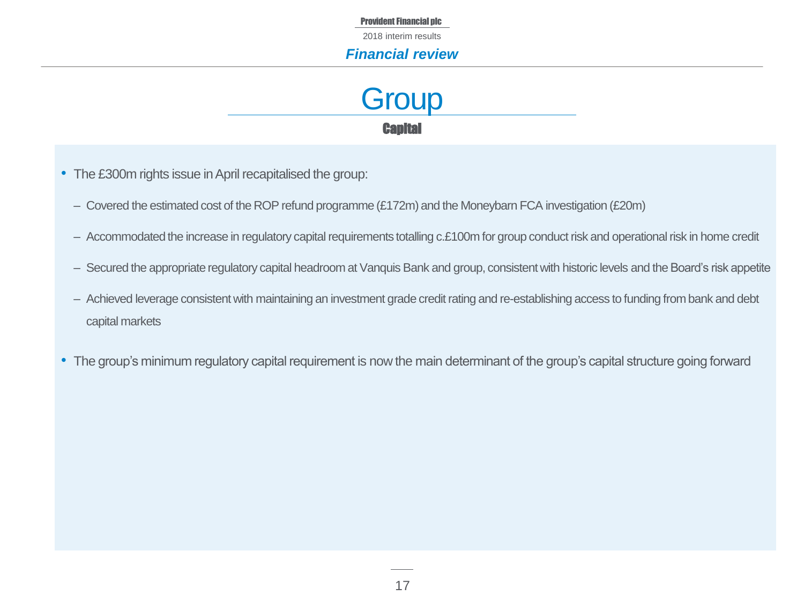2018 interim results

#### *Financial review*

**Capital Group** 

- The £300m rights issue in April recapitalised the group:
	- ‒ Covered the estimated cost of the ROP refund programme (£172m) and the Moneybarn FCA investigation (£20m)
	- Accommodated the increase in regulatory capital requirements totalling c.£100m for group conduct risk and operational risk in home credit
	- Secured the appropriate regulatory capital headroom at Vanquis Bank and group, consistent with historic levels and the Board's risk appetite
	- Achieved leverage consistent with maintaining an investment grade credit rating and re-establishing access to funding from bank and debt capital markets
- The group's minimum regulatory capital requirement is now the main determinant of the group's capital structure going forward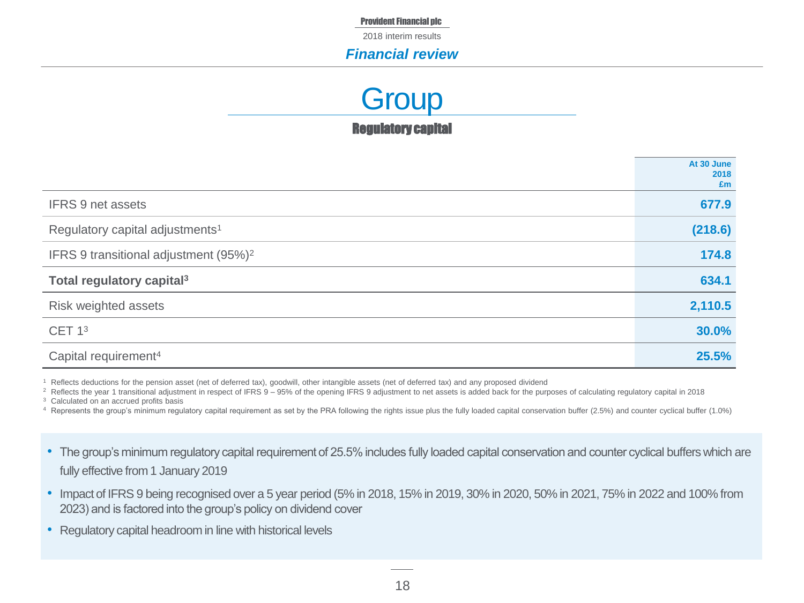2018 interim results

#### *Financial review*

Regulatory capital **Group** 

|                                                   | At 30 June<br>2018<br>£m |
|---------------------------------------------------|--------------------------|
| <b>IFRS 9 net assets</b>                          | 677.9                    |
| Regulatory capital adjustments <sup>1</sup>       | (218.6)                  |
| IFRS 9 transitional adjustment (95%) <sup>2</sup> | 174.8                    |
| Total regulatory capital <sup>3</sup>             | 634.1                    |
| Risk weighted assets                              | 2,110.5                  |
| CET 1 <sup>3</sup>                                | 30.0%                    |
| Capital requirement <sup>4</sup>                  | 25.5%                    |

<sup>1</sup> Reflects deductions for the pension asset (net of deferred tax), goodwill, other intangible assets (net of deferred tax) and any proposed dividend

<sup>2</sup> Reflects the year 1 transitional adjustment in respect of IFRS 9 – 95% of the opening IFRS 9 adjustment to net assets is added back for the purposes of calculating regulatory capital in 2018

<sup>3</sup> Calculated on an accrued profits basis

- <sup>4</sup> Represents the group's minimum regulatory capital requirement as set by the PRA following the rights issue plus the fully loaded capital conservation buffer (2.5%) and counter cyclical buffer (1.0%)
- The group's minimum regulatory capital requirement of 25.5% includes fully loaded capital conservation and counter cyclical buffers which are fully effective from 1 January 2019
- Impact of IFRS 9 being recognised over a 5 year period (5% in 2018, 15% in 2019, 30% in 2020, 50% in 2021, 75% in 2022 and 100% from 2023) and is factored into the group's policy on dividend cover
- Regulatory capital headroom in line with historical levels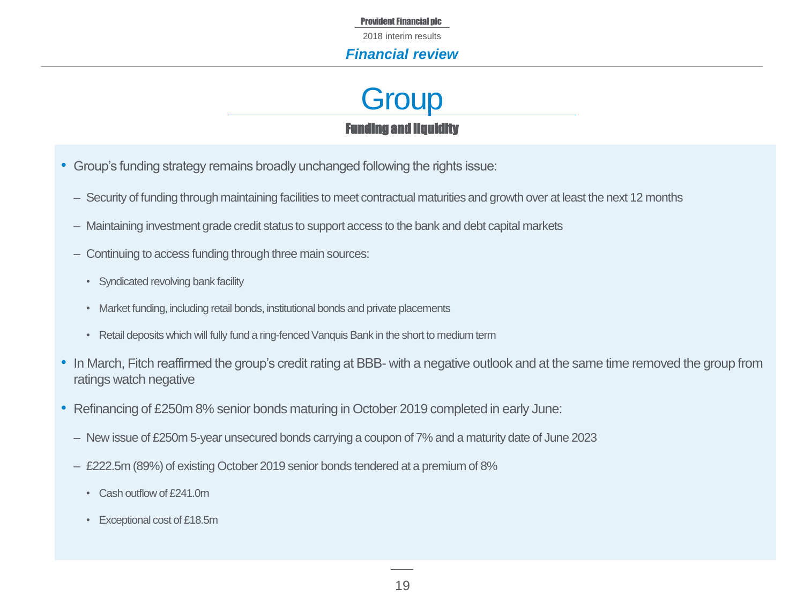2018 interim results

#### *Financial review*

### Funding and liquidity **Group**

- Group's funding strategy remains broadly unchanged following the rights issue:
	- Security of funding through maintaining facilities to meet contractual maturities and growth over at least the next 12 months
	- ‒ Maintaining investment grade credit status to support access to the bank and debt capital markets
	- Continuing to access funding through three main sources:
		- Syndicated revolving bank facility
		- Market funding, including retail bonds, institutional bonds and private placements
		- Retail deposits which will fully fund a ring-fenced Vanquis Bank in the short to medium term
- In March, Fitch reaffirmed the group's credit rating at BBB- with a negative outlook and at the same time removed the group from ratings watch negative
- Refinancing of £250m 8% senior bonds maturing in October 2019 completed in early June:
	- ‒ New issue of £250m 5-year unsecured bonds carrying a coupon of 7% and a maturity date of June 2023
	- ‒ £222.5m (89%) of existing October 2019 senior bonds tendered at a premium of 8%
		- Cash outflow of £241.0m
		- Exceptional cost of £18.5m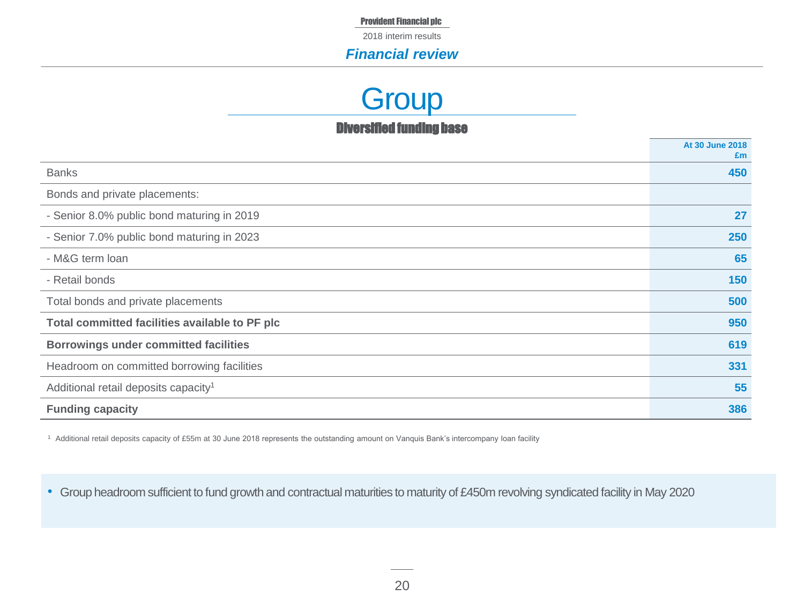2018 interim results

#### *Financial review*

### **Group**

Diversified funding base

|                                                  | At 30 June 2018<br>£m |
|--------------------------------------------------|-----------------------|
| <b>Banks</b>                                     | 450                   |
| Bonds and private placements:                    |                       |
| - Senior 8.0% public bond maturing in 2019       | 27                    |
| - Senior 7.0% public bond maturing in 2023       | 250                   |
| - M&G term loan                                  | 65                    |
| - Retail bonds                                   | 150                   |
| Total bonds and private placements               | 500                   |
| Total committed facilities available to PF plc   | 950                   |
| <b>Borrowings under committed facilities</b>     | 619                   |
| Headroom on committed borrowing facilities       | 331                   |
| Additional retail deposits capacity <sup>1</sup> | 55                    |
| <b>Funding capacity</b>                          | 386                   |

<sup>1</sup> Additional retail deposits capacity of £55m at 30 June 2018 represents the outstanding amount on Vanquis Bank's intercompany loan facility

• Group headroom sufficient to fund growth and contractual maturities to maturity of £450m revolving syndicated facility in May 2020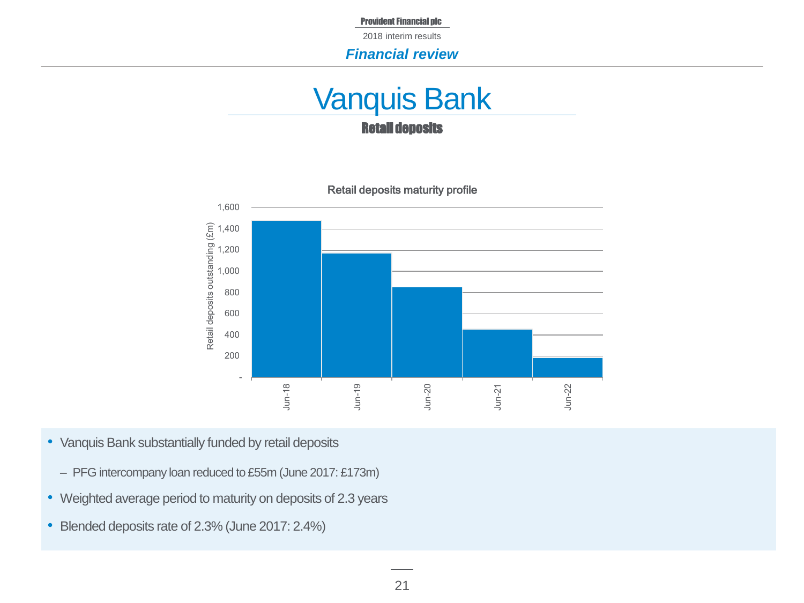2018 interim results

#### *Financial review*

### Retail deposits Vanquis Bank



- Vanquis Bank substantially funded by retail deposits
	- PFG intercompany loan reduced to £55m (June 2017: £173m)
- Weighted average period to maturity on deposits of 2.3 years
- Blended deposits rate of 2.3% (June 2017: 2.4%)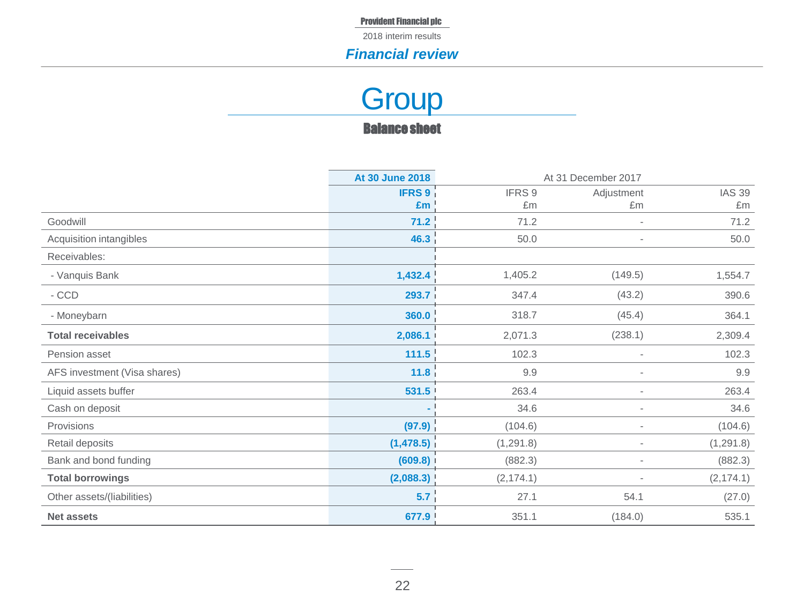2018 interim results

#### *Financial review*

### Balance sheet **Group**

|                              | At 30 June 2018   |            | At 31 December 2017      |               |
|------------------------------|-------------------|------------|--------------------------|---------------|
|                              | <b>IFRS 9</b>     | IFRS 9     | Adjustment               | <b>IAS 39</b> |
|                              | £m                | £m         | £m                       | £m            |
| Goodwill                     | 71.2              | 71.2       |                          | 71.2          |
| Acquisition intangibles      | 46.3              | 50.0       | ٠                        | 50.0          |
| Receivables:                 |                   |            |                          |               |
| - Vanquis Bank               | 1,432.4           | 1,405.2    | (149.5)                  | 1,554.7       |
| - CCD                        | 293.7             | 347.4      | (43.2)                   | 390.6         |
| - Moneybarn                  | 360.0             | 318.7      | (45.4)                   | 364.1         |
| <b>Total receivables</b>     | 2,086.1           | 2,071.3    | (238.1)                  | 2,309.4       |
| Pension asset                | 111.5             | 102.3      |                          | 102.3         |
| AFS investment (Visa shares) | 11.8 <sub>1</sub> | 9.9        |                          | 9.9           |
| Liquid assets buffer         | 531.5             | 263.4      |                          | 263.4         |
| Cash on deposit              | $\sim$            | 34.6       | $\overline{\phantom{a}}$ | 34.6          |
| Provisions                   | (97.9)            | (104.6)    | ٠                        | (104.6)       |
| Retail deposits              | (1,478.5)         | (1, 291.8) |                          | (1,291.8)     |
| Bank and bond funding        | (609.8)           | (882.3)    |                          | (882.3)       |
| <b>Total borrowings</b>      | (2,088.3)         | (2, 174.1) |                          | (2, 174.1)    |
| Other assets/(liabilities)   | 5.7               | 27.1       | 54.1                     | (27.0)        |
| <b>Net assets</b>            | 677.9             | 351.1      | (184.0)                  | 535.1         |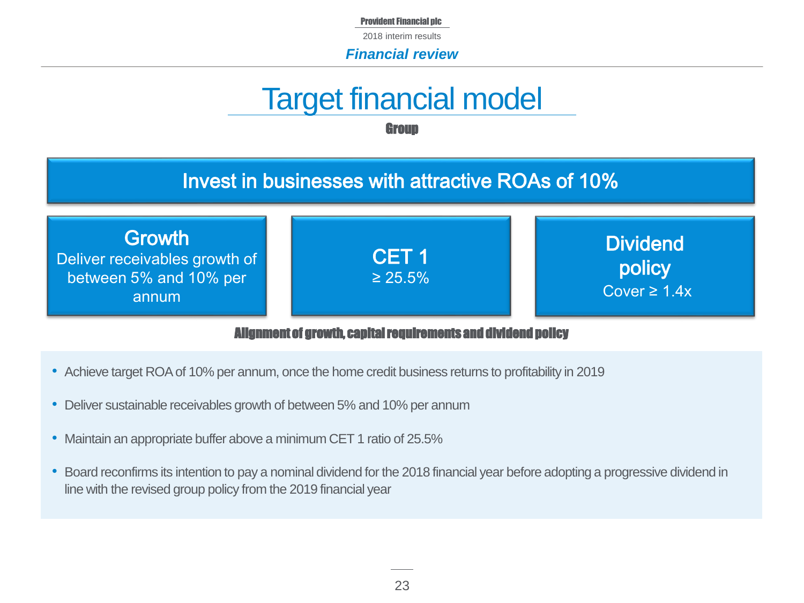2018 interim results

*Financial review*

# Target financial model

**Group** 

### Invest in businesses with attractive ROAs of 10%

**Growth** Deliver receivables growth of between 5% and 10% per annum

**Dividend** 

policy Cover  $\geq 1.4x$ 

#### Alignment of growth, capital requirements and dividend policy

CET 1 ≥ 25.5%

- Achieve target ROA of 10% per annum, once the home credit business returns to profitability in 2019
- Deliver sustainable receivables growth of between 5% and 10% per annum
- Maintain an appropriate buffer above a minimum CET 1 ratio of 25.5%
- Board reconfirms its intention to pay a nominal dividend for the 2018 financial year before adopting a progressive dividend in line with the revised group policy from the 2019 financial year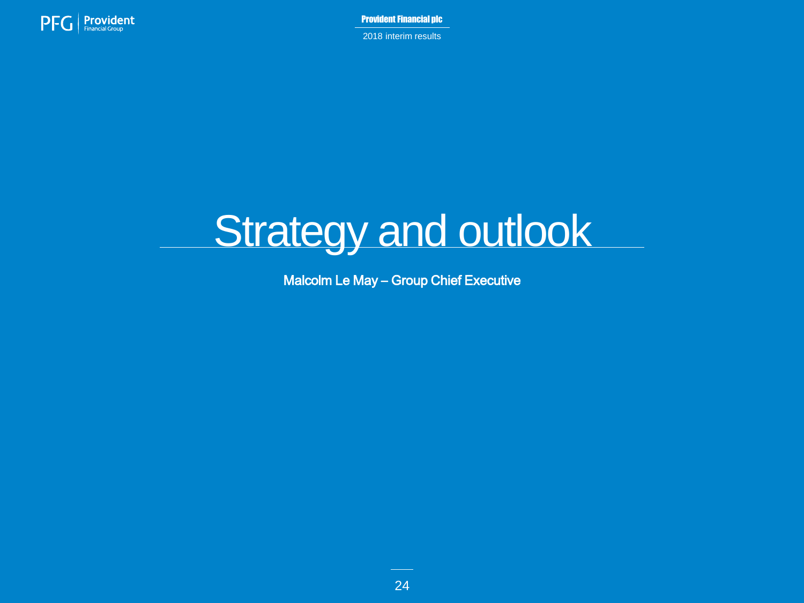

2018 interim results



Malcolm Le May – Group Chief Executive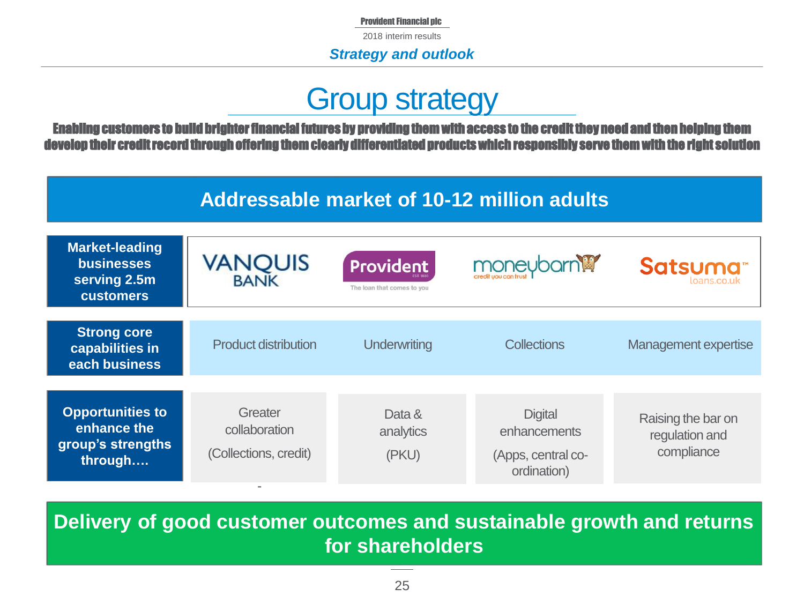2018 interim results

*Strategy and outlook*

### Group strategy

Enabling customers to build brighter financial futures by providing them with access to the credit they need and then helping them develop their credit record through offering them clearly differentiated products which responsibly serve them with the right solution

### **Addressable market of 10-12 million adults**

| <b>Market-leading</b><br><b>businesses</b><br>serving 2.5m<br><b>customers</b> | <b>VANQUIS</b><br><b>BANK</b>                     | <b>Provident</b><br>The loan that comes to you | moneyborn <sup>19</sup>                                             | Satsuma <sup>®</sup><br>loans.co.uk                |
|--------------------------------------------------------------------------------|---------------------------------------------------|------------------------------------------------|---------------------------------------------------------------------|----------------------------------------------------|
|                                                                                |                                                   |                                                |                                                                     |                                                    |
| <b>Strong core</b><br>capabilities in<br>each business                         | <b>Product distribution</b>                       | Underwriting                                   | <b>Collections</b>                                                  | Management expertise                               |
|                                                                                |                                                   |                                                |                                                                     |                                                    |
| <b>Opportunities to</b><br>enhance the<br>group's strengths<br>through         | Greater<br>collaboration<br>(Collections, credit) | Data &<br>analytics<br>(PKU)                   | <b>Digital</b><br>enhancements<br>(Apps, central co-<br>ordination) | Raising the bar on<br>regulation and<br>compliance |

**Delivery of good customer outcomes and sustainable growth and returns for shareholders**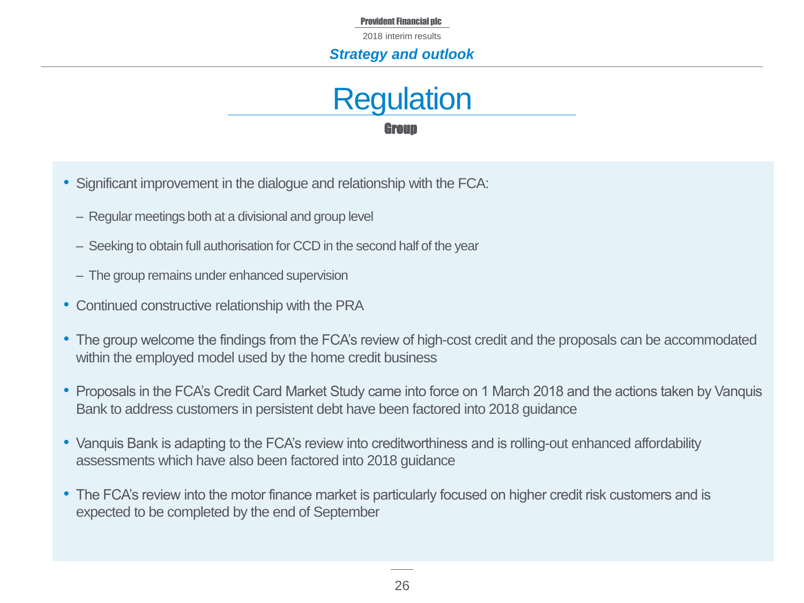2018 interim results

#### *Strategy and outlook*



- Significant improvement in the dialogue and relationship with the FCA:
	- ‒ Regular meetings both at a divisional and group level
	- ‒ Seeking to obtain full authorisation for CCD in the second half of the year
	- ‒ The group remains under enhanced supervision
- Continued constructive relationship with the PRA
- The group welcome the findings from the FCA's review of high-cost credit and the proposals can be accommodated within the employed model used by the home credit business
- Proposals in the FCA's Credit Card Market Study came into force on 1 March 2018 and the actions taken by Vanquis Bank to address customers in persistent debt have been factored into 2018 guidance
- Vanquis Bank is adapting to the FCA's review into creditworthiness and is rolling-out enhanced affordability assessments which have also been factored into 2018 guidance
- The FCA's review into the motor finance market is particularly focused on higher credit risk customers and is expected to be completed by the end of September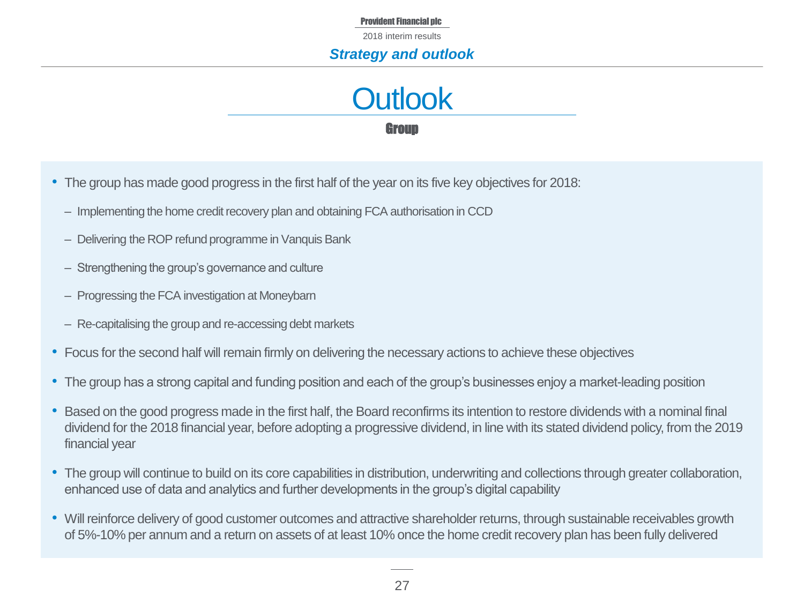2018 interim results

#### *Strategy and outlook*



- The group has made good progress in the first half of the year on its five key objectives for 2018:
	- ‒ Implementing the home credit recovery plan and obtaining FCA authorisation in CCD
	- Delivering the ROP refund programme in Vanquis Bank
	- ‒ Strengthening the group's governance and culture
	- Progressing the FCA investigation at Moneybarn
	- ‒ Re-capitalising the group and re-accessing debt markets
- Focus for the second half will remain firmly on delivering the necessary actions to achieve these objectives
- The group has a strong capital and funding position and each of the group's businesses enjoy a market-leading position
- Based on the good progress made in the first half, the Board reconfirms its intention to restore dividends with a nominal final dividend for the 2018 financial year, before adopting a progressive dividend, in line with its stated dividend policy, from the 2019 financial year
- The group will continue to build on its core capabilities in distribution, underwriting and collections through greater collaboration, enhanced use of data and analytics and further developments in the group's digital capability
- Will reinforce delivery of good customer outcomes and attractive shareholder returns, through sustainable receivables growth of 5%-10% per annum and a return on assets of at least 10% once the home credit recovery plan has been fully delivered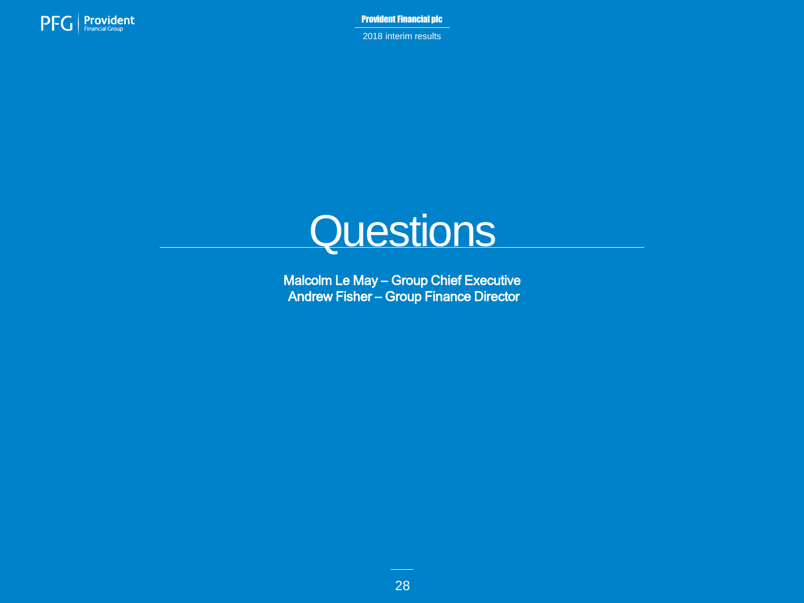

2018 interim results



Malcolm Le May – Group Chief Executive Andrew Fisher – Group Finance Director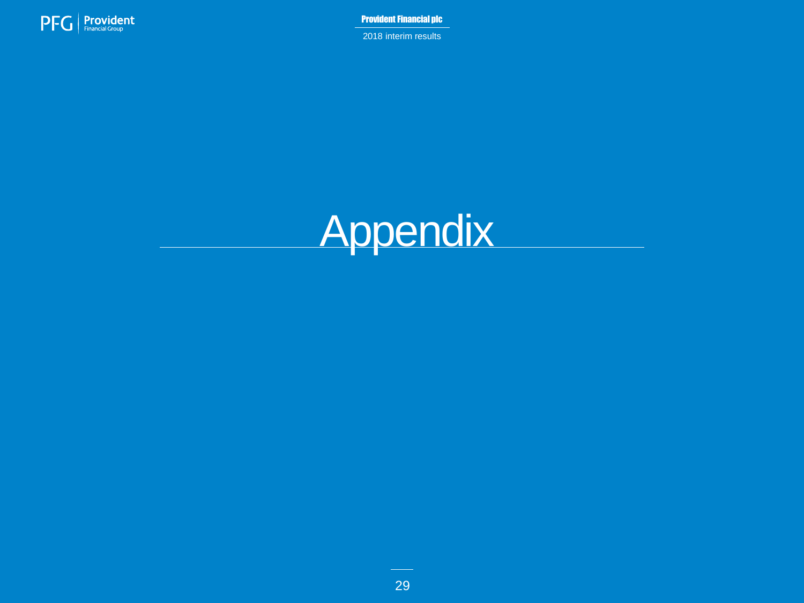

2018 interim results

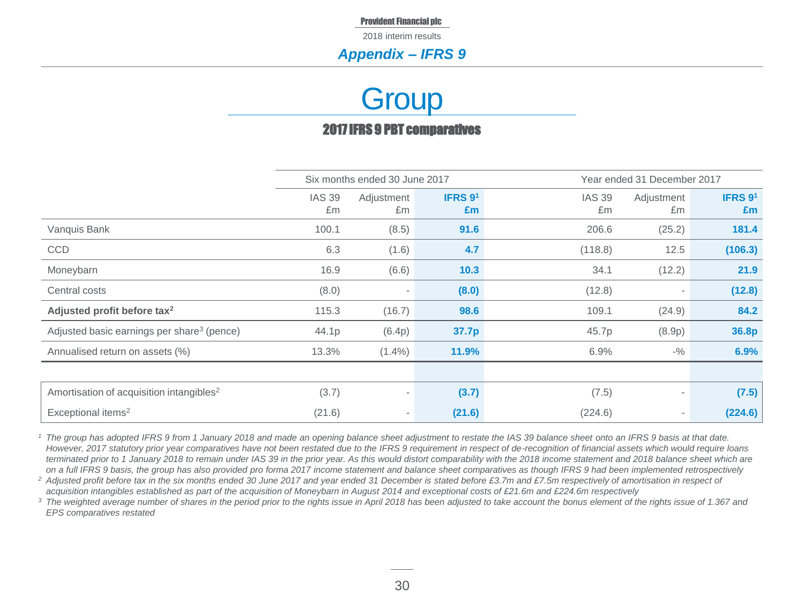2018 interim results

#### *Appendix – IFRS 9*

## **Group**

#### 2017 IFRS 9 PBT comparatives

|                                                        | Six months ended 30 June 2017<br>Year ended 31 December 2017 |                          |                                   |                     |                  |                                   |
|--------------------------------------------------------|--------------------------------------------------------------|--------------------------|-----------------------------------|---------------------|------------------|-----------------------------------|
|                                                        | <b>IAS 39</b><br>£m                                          | Adjustment<br>£m         | <b>IFRS <math>91</math></b><br>£m | <b>IAS 39</b><br>£m | Adjustment<br>£m | <b>IFRS <math>91</math></b><br>£m |
| Vanquis Bank                                           | 100.1                                                        | (8.5)                    | 91.6                              | 206.6               | (25.2)           | 181.4                             |
| <b>CCD</b>                                             | 6.3                                                          | (1.6)                    | 4.7                               | (118.8)             | 12.5             | (106.3)                           |
| Moneybarn                                              | 16.9                                                         | (6.6)                    | 10.3                              | 34.1                | (12.2)           | 21.9                              |
| Central costs                                          | (8.0)                                                        | $\overline{\phantom{a}}$ | (8.0)                             | (12.8)              |                  | (12.8)                            |
| Adjusted profit before tax <sup>2</sup>                | 115.3                                                        | (16.7)                   | 98.6                              | 109.1               | (24.9)           | 84.2                              |
| Adjusted basic earnings per share <sup>3</sup> (pence) | 44.1p                                                        | (6.4p)                   | 37.7p                             | 45.7p               | (8.9p)           | 36.8p                             |
| Annualised return on assets (%)                        | 13.3%                                                        | $(1.4\%)$                | 11.9%                             | 6.9%                | $-$ %            | 6.9%                              |
|                                                        |                                                              |                          |                                   |                     |                  |                                   |
| Amortisation of acquisition intangibles <sup>2</sup>   | (3.7)                                                        | $\overline{\phantom{a}}$ | (3.7)                             | (7.5)               |                  | (7.5)                             |
| Exceptional items <sup>2</sup>                         | (21.6)                                                       | $\overline{\phantom{a}}$ | (21.6)                            | (224.6)             |                  | (224.6)                           |

*<sup>1</sup> The group has adopted IFRS 9 from 1 January 2018 and made an opening balance sheet adjustment to restate the IAS 39 balance sheet onto an IFRS 9 basis at that date. However, 2017 statutory prior year comparatives have not been restated due to the IFRS 9 requirement in respect of de-recognition of financial assets which would require loans terminated prior to 1 January 2018 to remain under IAS 39 in the prior year. As this would distort comparability with the 2018 income statement and 2018 balance sheet which are on a full IFRS 9 basis, the group has also provided pro forma 2017 income statement and balance sheet comparatives as though IFRS 9 had been implemented retrospectively* 

*<sup>2</sup> Adjusted profit before tax in the six months ended 30 June 2017 and year ended 31 December is stated before £3.7m and £7.5m respectively of amortisation in respect of acquisition intangibles established as part of the acquisition of Moneybarn in August 2014 and exceptional costs of £21.6m and £224.6m respectively*

<sup>3</sup> The weighted average number of shares in the period prior to the rights issue in April 2018 has been adjusted to take account the bonus element of the rights issue of 1.367 and *EPS comparatives restated*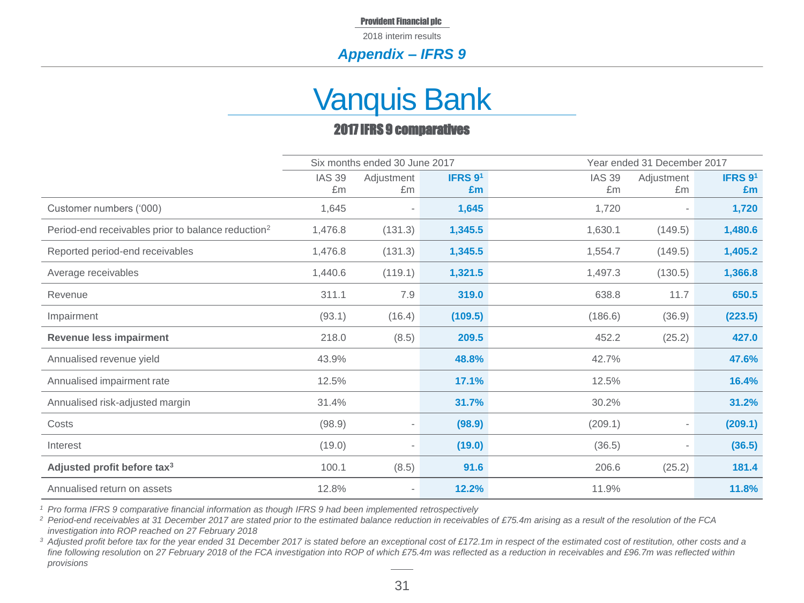2018 interim results

#### *Appendix – IFRS 9*

### Vanquis Bank

#### 2017 IFRS 9 comparatives

|                                                                |                     | Six months ended 30 June 2017 |               |                     | Year ended 31 December 2017 |               |
|----------------------------------------------------------------|---------------------|-------------------------------|---------------|---------------------|-----------------------------|---------------|
|                                                                | <b>IAS 39</b><br>£m | Adjustment<br>£m              | IFRS 91<br>£m | <b>IAS 39</b><br>£m | Adjustment<br>£m            | IFRS 91<br>Em |
| Customer numbers ('000)                                        | 1,645               |                               | 1,645         | 1,720               |                             | 1,720         |
| Period-end receivables prior to balance reduction <sup>2</sup> | 1,476.8             | (131.3)                       | 1,345.5       | 1,630.1             | (149.5)                     | 1,480.6       |
| Reported period-end receivables                                | 1,476.8             | (131.3)                       | 1,345.5       | 1,554.7             | (149.5)                     | 1,405.2       |
| Average receivables                                            | 1,440.6             | (119.1)                       | 1,321.5       | 1,497.3             | (130.5)                     | 1,366.8       |
| Revenue                                                        | 311.1               | 7.9                           | 319.0         | 638.8               | 11.7                        | 650.5         |
| Impairment                                                     | (93.1)              | (16.4)                        | (109.5)       | (186.6)             | (36.9)                      | (223.5)       |
| <b>Revenue less impairment</b>                                 | 218.0               | (8.5)                         | 209.5         | 452.2               | (25.2)                      | 427.0         |
| Annualised revenue yield                                       | 43.9%               |                               | 48.8%         | 42.7%               |                             | 47.6%         |
| Annualised impairment rate                                     | 12.5%               |                               | 17.1%         | 12.5%               |                             | 16.4%         |
| Annualised risk-adjusted margin                                | 31.4%               |                               | 31.7%         | 30.2%               |                             | 31.2%         |
| Costs                                                          | (98.9)              | $\overline{\phantom{a}}$      | (98.9)        | (209.1)             |                             | (209.1)       |
| Interest                                                       | (19.0)              |                               | (19.0)        | (36.5)              |                             | (36.5)        |
| Adjusted profit before tax <sup>3</sup>                        | 100.1               | (8.5)                         | 91.6          | 206.6               | (25.2)                      | 181.4         |
| Annualised return on assets                                    | 12.8%               | $\overline{\phantom{a}}$      | 12.2%         | 11.9%               |                             | 11.8%         |

*<sup>1</sup> Pro forma IFRS 9 comparative financial information as though IFRS 9 had been implemented retrospectively*

<sup>2</sup> Period-end receivables at 31 December 2017 are stated prior to the estimated balance reduction in receivables of £75.4m arising as a result of the resolution of the FCA *investigation into ROP reached on 27 February 2018*

*<sup>3</sup> Adjusted profit before tax for the year ended 31 December 2017 is stated before an exceptional cost of £172.1m in respect of the estimated cost of restitution, other costs and a fine following resolution* on *27 February 2018 of the FCA investigation into ROP of which £75.4m was reflected as a reduction in receivables and £96.7m was reflected within provisions*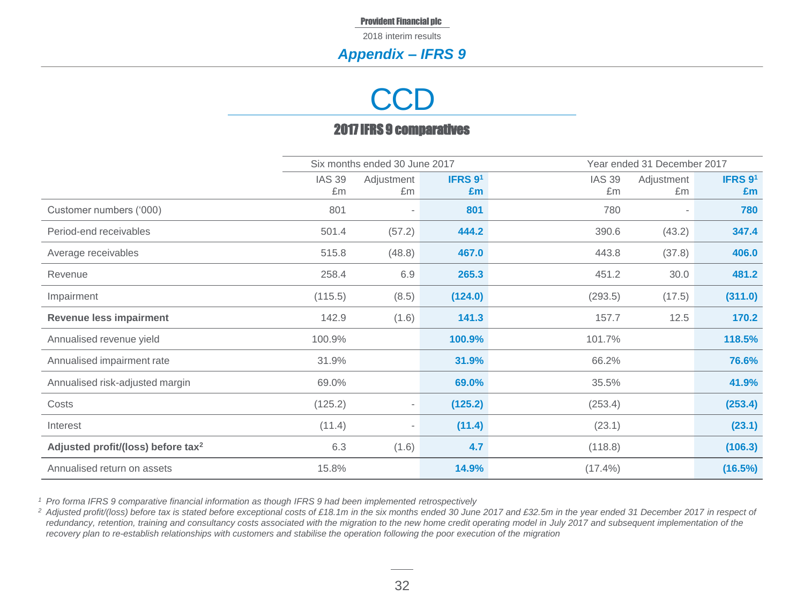2018 interim results

#### *Appendix – IFRS 9*

## **CCD**

#### 2017 IFRS 9 comparatives

|                                                |                     | Six months ended 30 June 2017 |               |                     | Year ended 31 December 2017 |               |  |
|------------------------------------------------|---------------------|-------------------------------|---------------|---------------------|-----------------------------|---------------|--|
|                                                | <b>IAS 39</b><br>£m | Adjustment<br>£m              | IFRS 91<br>£m | <b>IAS 39</b><br>£m | Adjustment<br>£m            | IFRS 91<br>£m |  |
| Customer numbers ('000)                        | 801                 |                               | 801           | 780                 |                             | 780           |  |
| Period-end receivables                         | 501.4               | (57.2)                        | 444.2         | 390.6               | (43.2)                      | 347.4         |  |
| Average receivables                            | 515.8               | (48.8)                        | 467.0         | 443.8               | (37.8)                      | 406.0         |  |
| Revenue                                        | 258.4               | 6.9                           | 265.3         | 451.2               | 30.0                        | 481.2         |  |
| Impairment                                     | (115.5)             | (8.5)                         | (124.0)       | (293.5)             | (17.5)                      | (311.0)       |  |
| <b>Revenue less impairment</b>                 | 142.9               | (1.6)                         | 141.3         | 157.7               | 12.5                        | 170.2         |  |
| Annualised revenue yield                       | 100.9%              |                               | 100.9%        | 101.7%              |                             | 118.5%        |  |
| Annualised impairment rate                     | 31.9%               |                               | 31.9%         | 66.2%               |                             | 76.6%         |  |
| Annualised risk-adjusted margin                | 69.0%               |                               | 69.0%         | 35.5%               |                             | 41.9%         |  |
| Costs                                          | (125.2)             | $\overline{\phantom{a}}$      | (125.2)       | (253.4)             |                             | (253.4)       |  |
| Interest                                       | (11.4)              |                               | (11.4)        | (23.1)              |                             | (23.1)        |  |
| Adjusted profit/(loss) before tax <sup>2</sup> | 6.3                 | (1.6)                         | 4.7           | (118.8)             |                             | (106.3)       |  |
| Annualised return on assets                    | 15.8%               |                               | 14.9%         | $(17.4\%)$          |                             | (16.5%)       |  |

*<sup>1</sup> Pro forma IFRS 9 comparative financial information as though IFRS 9 had been implemented retrospectively*

<sup>2</sup> Adjusted profit/(loss) before tax is stated before exceptional costs of £18.1m in the six months ended 30 June 2017 and £32.5m in the year ended 31 December 2017 in respect of redundancy, retention, training and consultancy costs associated with the migration to the new home credit operating model in *July 2017* and subsequent implementation of the *recovery plan to re-establish relationships with customers and stabilise the operation following the poor execution of the migration*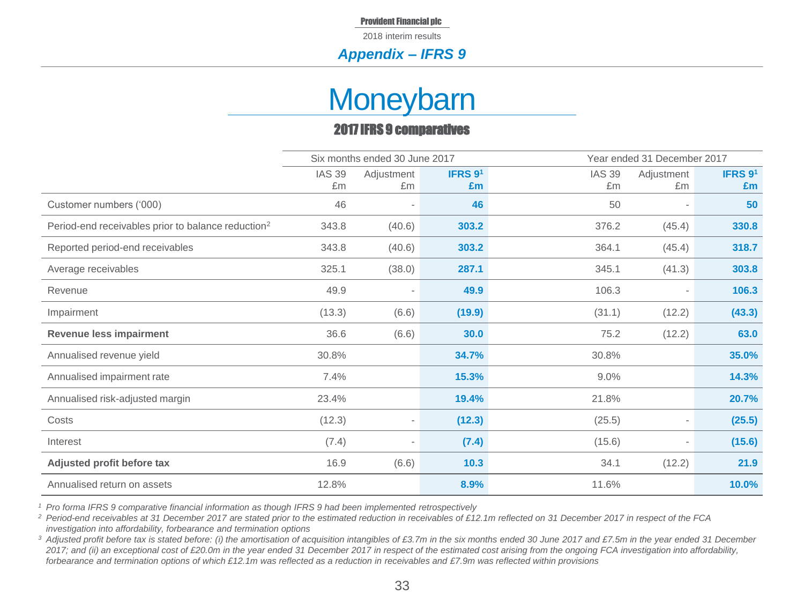2018 interim results

#### *Appendix – IFRS 9*

### **Moneybarn**

#### 2017 IFRS 9 comparatives

|                                                                | Six months ended 30 June 2017 |                          |         | Year ended 31 December 2017 |            |         |
|----------------------------------------------------------------|-------------------------------|--------------------------|---------|-----------------------------|------------|---------|
|                                                                | <b>IAS 39</b>                 | Adjustment               | IFRS 91 | <b>IAS 39</b>               | Adjustment | IFRS 91 |
|                                                                | £m                            | £m                       | Em      | £m                          | £m         | £m      |
| Customer numbers ('000)                                        | 46                            |                          | 46      | 50                          |            | 50      |
| Period-end receivables prior to balance reduction <sup>2</sup> | 343.8                         | (40.6)                   | 303.2   | 376.2                       | (45.4)     | 330.8   |
| Reported period-end receivables                                | 343.8                         | (40.6)                   | 303.2   | 364.1                       | (45.4)     | 318.7   |
| Average receivables                                            | 325.1                         | (38.0)                   | 287.1   | 345.1                       | (41.3)     | 303.8   |
| Revenue                                                        | 49.9                          | $\overline{\phantom{a}}$ | 49.9    | 106.3                       |            | 106.3   |
| Impairment                                                     | (13.3)                        | (6.6)                    | (19.9)  | (31.1)                      | (12.2)     | (43.3)  |
| <b>Revenue less impairment</b>                                 | 36.6                          | (6.6)                    | 30.0    | 75.2                        | (12.2)     | 63.0    |
| Annualised revenue yield                                       | 30.8%                         |                          | 34.7%   | 30.8%                       |            | 35.0%   |
| Annualised impairment rate                                     | 7.4%                          |                          | 15.3%   | 9.0%                        |            | 14.3%   |
| Annualised risk-adjusted margin                                | 23.4%                         |                          | 19.4%   | 21.8%                       |            | 20.7%   |
| Costs                                                          | (12.3)                        | $\overline{\phantom{a}}$ | (12.3)  | (25.5)                      |            | (25.5)  |
| Interest                                                       | (7.4)                         |                          | (7.4)   | (15.6)                      |            | (15.6)  |
| Adjusted profit before tax                                     | 16.9                          | (6.6)                    | 10.3    | 34.1                        | (12.2)     | 21.9    |
| Annualised return on assets                                    | 12.8%                         |                          | 8.9%    | 11.6%                       |            | 10.0%   |

*<sup>1</sup> Pro forma IFRS 9 comparative financial information as though IFRS 9 had been implemented retrospectively*

*<sup>2</sup> Period-end receivables at 31 December 2017 are stated prior to the estimated reduction in receivables of £12.1m reflected on 31 December 2017 in respect of the FCA investigation into affordability, forbearance and termination options* 

*<sup>3</sup> Adjusted profit before tax is stated before: (i) the amortisation of acquisition intangibles of £3.7m in the six months ended 30 June 2017 and £7.5m in the year ended 31 December 2017; and (ii) an exceptional cost of £20.0m in the year ended 31 December 2017 in respect of the estimated cost arising from the ongoing FCA investigation into affordability, forbearance and termination options of which £12.1m was reflected as a reduction in receivables and £7.9m was reflected within provisions*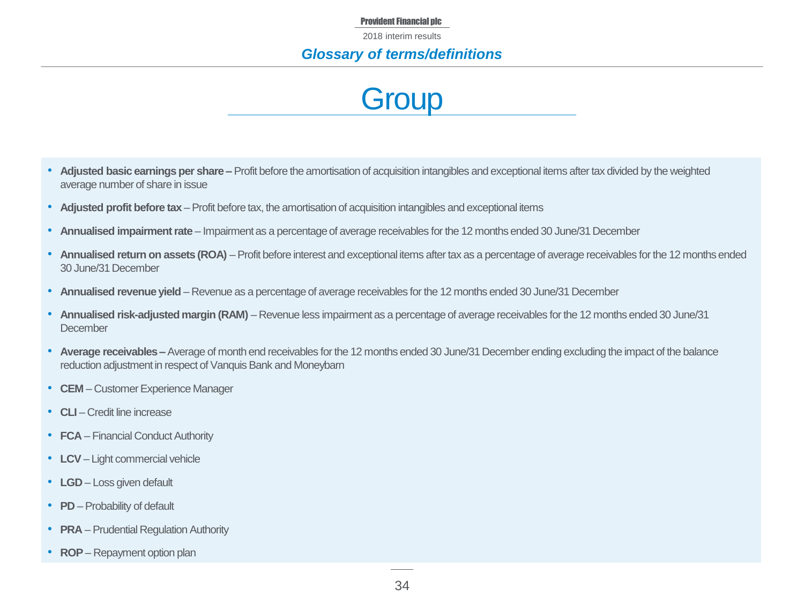2018 interim results

#### *Glossary of terms/definitions*

### **Group**

- **Adjusted basic earnings per share –** Profit before the amortisation of acquisition intangibles and exceptional items after tax divided by the weighted average number of share in issue
- **Adjusted profit before tax**  Profit before tax, the amortisation of acquisition intangibles and exceptional items
- **Annualised impairment rate**  Impairment as a percentage of average receivables for the 12 months ended 30 June/31 December
- **Annualised return on assets (ROA)** Profit before interest and exceptional items after tax as a percentage of average receivables for the 12 months ended 30 June/31 December
- **Annualised revenue yield**  Revenue as a percentage of average receivables for the 12 months ended 30 June/31 December
- **Annualised risk-adjusted margin (RAM)**  Revenue less impairment as a percentage of average receivables for the 12 months ended 30 June/31 **December**
- **Average receivables –** Average of month end receivables for the 12 months ended 30 June/31 December ending excluding the impact of the balance reduction adjustment in respect of Vanquis Bank and Moneybarn
- **CEM**  Customer Experience Manager
- **CLI** Credit line increase
- **FCA** Financial Conduct Authority
- **LCV**  Light commercial vehicle
- **LGD** Loss given default
- **PD** Probability of default
- **PRA** Prudential Regulation Authority
- **ROP** Repayment option plan